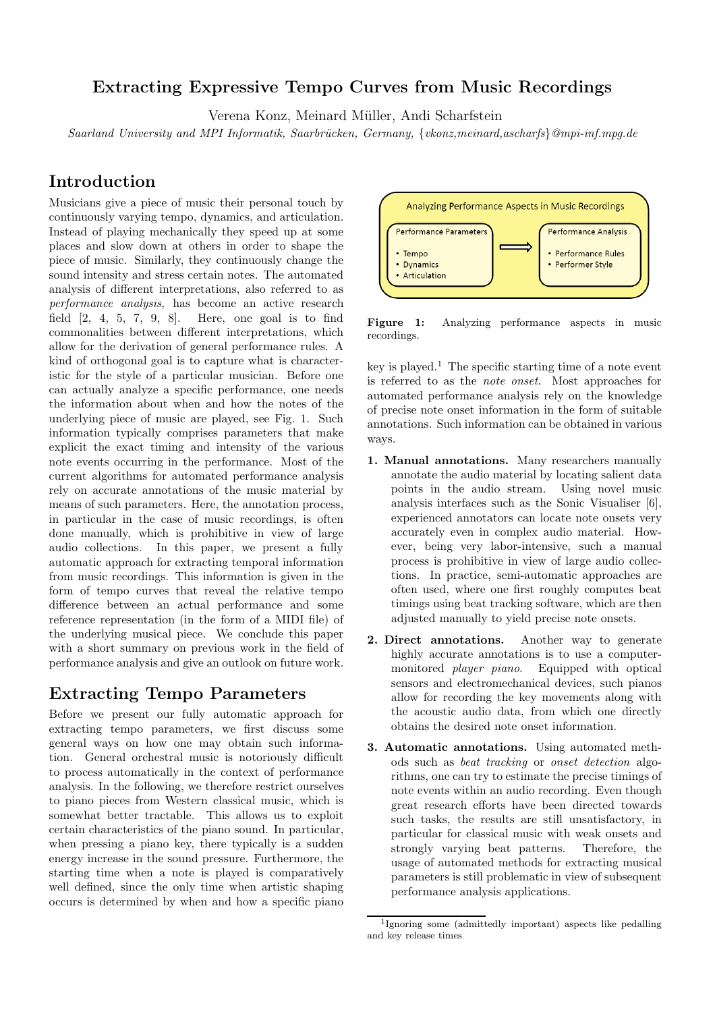#### Extracting Expressive Tempo Curves from Music Recordings

Verena Konz, Meinard Müller, Andi Scharfstein

Saarland University and MPI Informatik, Saarbrücken, Germany, {vkonz,meinard,ascharfs}@mpi-inf.mpg.de

## Introduction

Musicians give a piece of music their personal touch by continuously varying tempo, dynamics, and articulation. Instead of playing mechanically they speed up at some places and slow down at others in order to shape the piece of music. Similarly, they continuously change the sound intensity and stress certain notes. The automated analysis of different interpretations, also referred to as performance analysis, has become an active research field  $[2, 4, 5, 7, 9, 8]$ . Here, one goal is to find commonalities between different interpretations, which allow for the derivation of general performance rules. A kind of orthogonal goal is to capture what is characteristic for the style of a particular musician. Before one can actually analyze a specific performance, one needs the information about when and how the notes of the underlying piece of music are played, see Fig. 1. Such information typically comprises parameters that make explicit the exact timing and intensity of the various note events occurring in the performance. Most of the current algorithms for automated performance analysis rely on accurate annotations of the music material by means of such parameters. Here, the annotation process, in particular in the case of music recordings, is often done manually, which is prohibitive in view of large audio collections. In this paper, we present a fully automatic approach for extracting temporal information from music recordings. This information is given in the form of tempo curves that reveal the relative tempo difference between an actual performance and some reference representation (in the form of a MIDI file) of the underlying musical piece. We conclude this paper with a short summary on previous work in the field of performance analysis and give an outlook on future work.

### Extracting Tempo Parameters

Before we present our fully automatic approach for extracting tempo parameters, we first discuss some general ways on how one may obtain such information. General orchestral music is notoriously difficult to process automatically in the context of performance analysis. In the following, we therefore restrict ourselves to piano pieces from Western classical music, which is somewhat better tractable. This allows us to exploit certain characteristics of the piano sound. In particular, when pressing a piano key, there typically is a sudden energy increase in the sound pressure. Furthermore, the starting time when a note is played is comparatively well defined, since the only time when artistic shaping occurs is determined by when and how a specific piano



Figure 1: Analyzing performance aspects in music recordings.

key is played.<sup>1</sup> The specific starting time of a note event is referred to as the note onset. Most approaches for automated performance analysis rely on the knowledge of precise note onset information in the form of suitable annotations. Such information can be obtained in various ways.

- 1. Manual annotations. Many researchers manually annotate the audio material by locating salient data points in the audio stream. Using novel music analysis interfaces such as the Sonic Visualiser [6], experienced annotators can locate note onsets very accurately even in complex audio material. However, being very labor-intensive, such a manual process is prohibitive in view of large audio collections. In practice, semi-automatic approaches are often used, where one first roughly computes beat timings using beat tracking software, which are then adjusted manually to yield precise note onsets.
- 2. Direct annotations. Another way to generate highly accurate annotations is to use a computermonitored player piano. Equipped with optical sensors and electromechanical devices, such pianos allow for recording the key movements along with the acoustic audio data, from which one directly obtains the desired note onset information.
- 3. Automatic annotations. Using automated methods such as beat tracking or onset detection algorithms, one can try to estimate the precise timings of note events within an audio recording. Even though great research efforts have been directed towards such tasks, the results are still unsatisfactory, in particular for classical music with weak onsets and strongly varying beat patterns. Therefore, the usage of automated methods for extracting musical parameters is still problematic in view of subsequent performance analysis applications.

<sup>1</sup> Ignoring some (admittedly important) aspects like pedalling and key release times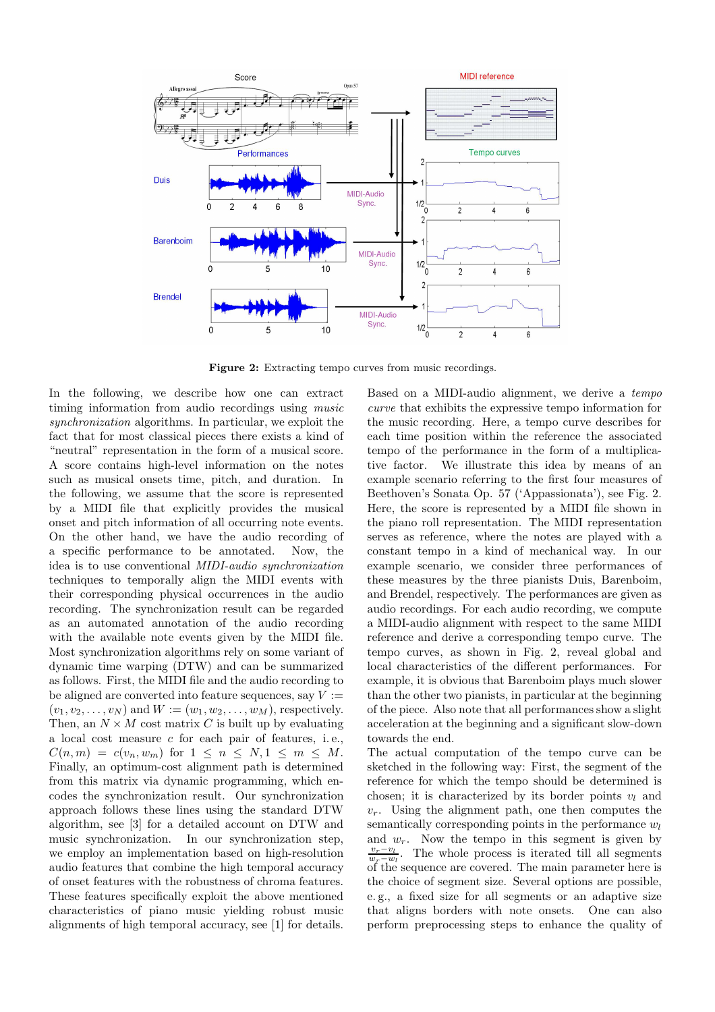

Figure 2: Extracting tempo curves from music recordings.

In the following, we describe how one can extract timing information from audio recordings using music synchronization algorithms. In particular, we exploit the fact that for most classical pieces there exists a kind of "neutral" representation in the form of a musical score. A score contains high-level information on the notes such as musical onsets time, pitch, and duration. In the following, we assume that the score is represented by a MIDI file that explicitly provides the musical onset and pitch information of all occurring note events. On the other hand, we have the audio recording of a specific performance to be annotated. Now, the idea is to use conventional MIDI-audio synchronization techniques to temporally align the MIDI events with their corresponding physical occurrences in the audio recording. The synchronization result can be regarded as an automated annotation of the audio recording with the available note events given by the MIDI file. Most synchronization algorithms rely on some variant of dynamic time warping (DTW) and can be summarized as follows. First, the MIDI file and the audio recording to be aligned are converted into feature sequences, say  $V :=$  $(v_1, v_2, \ldots, v_N)$  and  $W := (w_1, w_2, \ldots, w_M)$ , respectively. Then, an  $N \times M$  cost matrix C is built up by evaluating a local cost measure c for each pair of features, i. e.,  $C(n, m) = c(v_n, w_m)$  for  $1 \leq n \leq N, 1 \leq m \leq M$ . Finally, an optimum-cost alignment path is determined from this matrix via dynamic programming, which encodes the synchronization result. Our synchronization approach follows these lines using the standard DTW algorithm, see [3] for a detailed account on DTW and music synchronization. In our synchronization step, we employ an implementation based on high-resolution audio features that combine the high temporal accuracy of onset features with the robustness of chroma features. These features specifically exploit the above mentioned characteristics of piano music yielding robust music alignments of high temporal accuracy, see [1] for details.

Based on a MIDI-audio alignment, we derive a tempo curve that exhibits the expressive tempo information for the music recording. Here, a tempo curve describes for each time position within the reference the associated tempo of the performance in the form of a multiplicative factor. We illustrate this idea by means of an example scenario referring to the first four measures of Beethoven's Sonata Op. 57 ('Appassionata'), see Fig. 2. Here, the score is represented by a MIDI file shown in the piano roll representation. The MIDI representation serves as reference, where the notes are played with a constant tempo in a kind of mechanical way. In our example scenario, we consider three performances of these measures by the three pianists Duis, Barenboim, and Brendel, respectively. The performances are given as audio recordings. For each audio recording, we compute a MIDI-audio alignment with respect to the same MIDI reference and derive a corresponding tempo curve. The tempo curves, as shown in Fig. 2, reveal global and local characteristics of the different performances. For example, it is obvious that Barenboim plays much slower than the other two pianists, in particular at the beginning of the piece. Also note that all performances show a slight acceleration at the beginning and a significant slow-down towards the end.

The actual computation of the tempo curve can be sketched in the following way: First, the segment of the reference for which the tempo should be determined is chosen; it is characterized by its border points  $v_l$  and  $v_r$ . Using the alignment path, one then computes the semantically corresponding points in the performance  $w_l$ and  $w_r$ . Now the tempo in this segment is given by  $\frac{v_r-v_l}{w_r-w_l}$ . The whole process is iterated till all segments of the sequence are covered. The main parameter here is the choice of segment size. Several options are possible, e. g., a fixed size for all segments or an adaptive size that aligns borders with note onsets. One can also perform preprocessing steps to enhance the quality of